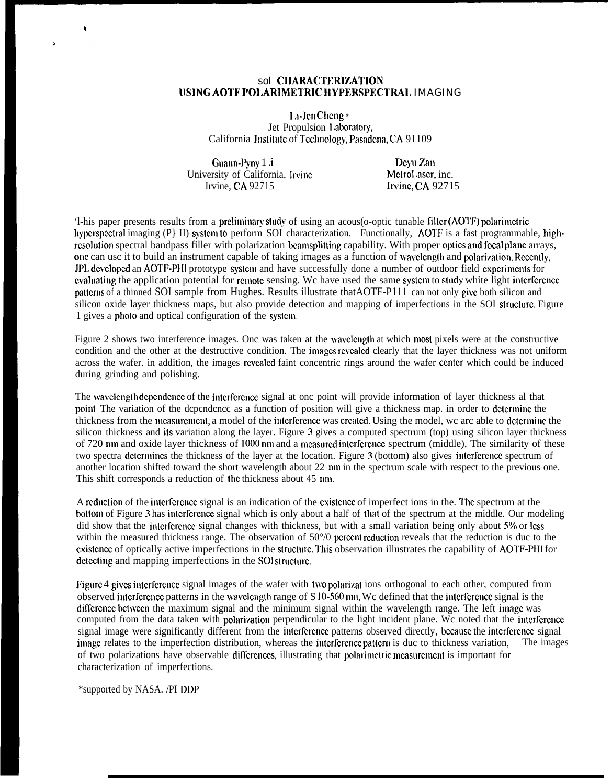## sol CHARACTERIZATION USING AOTF POLARIMETRIC HYPERSPECTRAL IMAGING

 $I$  *i*-Jen Cheng  $*$ Jet Propulsion 1.aboratory, California Institute of Technology, Pasadena, CA 91109

Guann-Pyny 1 *i* Deyu Zan<br>
rsity of California, Irvine MetroLaser, inc. University of California, Irvine<br>Irvine, CA 92715

Irvine, CA 92715

'l-his paper presents results from a preliminary study of using an acous(o-optic tunable filter (AOTF) polarimetric hypcrspcctral imaging (P} II) system 10 perform SOI characterization. Functionally, AOTF is a fast programmable, highrcsolulion spectral bandpass filler with polarization bcamsplitting capability. With proper optics and focal plane arrays, one can usc it to build an instrument capable of taking images as a function of wavelength and polarization. Recently, JPL dcvclopcd an AOTF-PH1 prototype syslcm and have successfully done a number of outdoor field cxpcrimcnts for cvaluating the application potential for remote sensing. Wc have used the same system to study white light interference patterns of a thinned SOI sample from Hughes. Results illustrate that AOTF-P111 can not only give both silicon and silicon oxide layer thickness maps, but also provide detection and mapping of imperfections in the SOI structure. Figure 1 gives a phoio and optical configuration of the systcm.

Figure 2 shows two interference images. Onc was taken at the wavelength at which most pixels were at the constructive condition and the other at the destructive condition. The images rcvcalcd clearly that the layer thickness was not uniform across the wafer. in addition, the images rcvcalcd faint concentric rings around the wafer ccntcr which could be induced during grinding and polishing.

The wavelength dependence of the interference signal at onc point will provide information of layer thickness al that point. The variation of the dcpcndcncc as a function of position will give a thickness map. in order to dctcrminc the thickness from the measurement, a model of the interference was created. Using the model, we arc able to determine the silicon thickness and its variation along the layer. Figure 3 gives a computed spectrum (top) using silicon layer thickness of 720 nm and oxide layer thickness of 1000 nm and a measured interference spectrum (middle). The similarity of these two spectra determines the thickness of the layer at the location. Figure 3 (bottom) also gives interference spectrum of another location shifted toward the short wavelength about 22 nm in the spectrum scale with respect to the previous one. This shift corresponds a reduction of the thickness about 45 m.

A reduction of the interference signal is an indication of the existence of imperfect ions in the. The spectrum at the bottom of Figure 3 has interference signal which is only about a half of that of the spectrum at the middle. Our modeling did show that the interference signal changes with thickness, but with a small variation being only about 5% or less within the measured thickness range. The observation of 50°/0 pcrcent reduction reveals that the reduction is duc to the cxistcncc of optically active imperfections in the struclurc. '1'his observation illustrates the capability of AOI'F-PHI for detecting and mapping imperfections in the SOI structure.

Figure 4 gives interference signal images of the wafer with two polarizat ions orthogonal to each other, computed from observed intcrfcrcncc patterns in the wavclcnglh range of S 10-S60 m, Wc defined that the inlcrfcrcncc signal is the difference between the maximum signal and the minimum signal within the wavelength range. The left image was computed from the data taken with polarization perpendicular to the light incident plane. We noted that the interference signal image were significantly different from the interference patterns observed directly, because the interference signal image relates to the imperfection distribution, whereas the interference pattern is duc to thickness variation, The images of two polarizations have observable diffcrcnccs, illustrating that polarimclric mcasurcmcnt is important for characterization of imperfections.

\*supported by NASA. /PI DDP